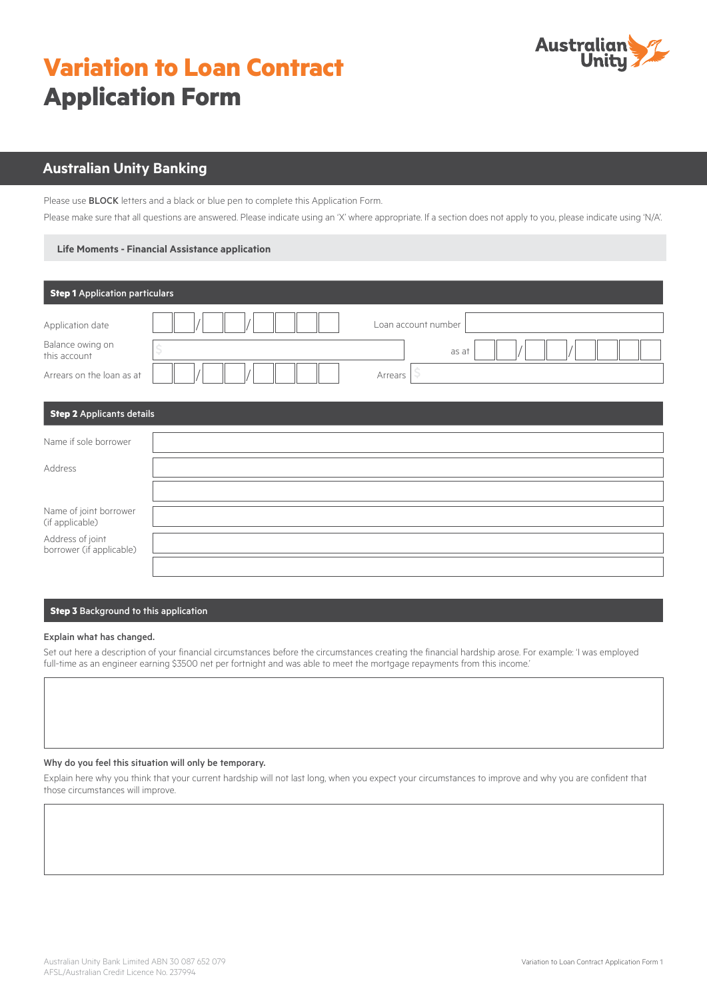# **Variation to Loan Contract Application Form**



# **Australian Unity Banking**

Please use BLOCK letters and a black or blue pen to complete this Application Form.

Please make sure that all questions are answered. Please indicate using an 'X' where appropriate. If a section does not apply to you, please indicate using 'N/A'.

#### **Life Moments - Financial Assistance application**

| <b>Step 1</b> Application particulars                                             |                                              |
|-----------------------------------------------------------------------------------|----------------------------------------------|
| Application date<br>Balance owing on<br>this account<br>Arrears on the loan as at | Loan account number<br>as at<br>Ş<br>Arrears |
| <b>Step 2</b> Applicants details                                                  |                                              |
| Name if sole borrower                                                             |                                              |
| Address                                                                           |                                              |
|                                                                                   |                                              |
| Name of joint borrower<br>(if applicable)                                         |                                              |
| Address of joint<br>borrower (if applicable)                                      |                                              |
|                                                                                   |                                              |

## **Step 3** Background to this application

#### Explain what has changed.

Set out here a description of your financial circumstances before the circumstances creating the financial hardship arose. For example: 'I was employed full-time as an engineer earning \$3500 net per fortnight and was able to meet the mortgage repayments from this income.' 

#### Why do you feel this situation will only be temporary.

Explain here why you think that your current hardship will not last long, when you expect your circumstances to improve and why you are confident that those circumstances will improve.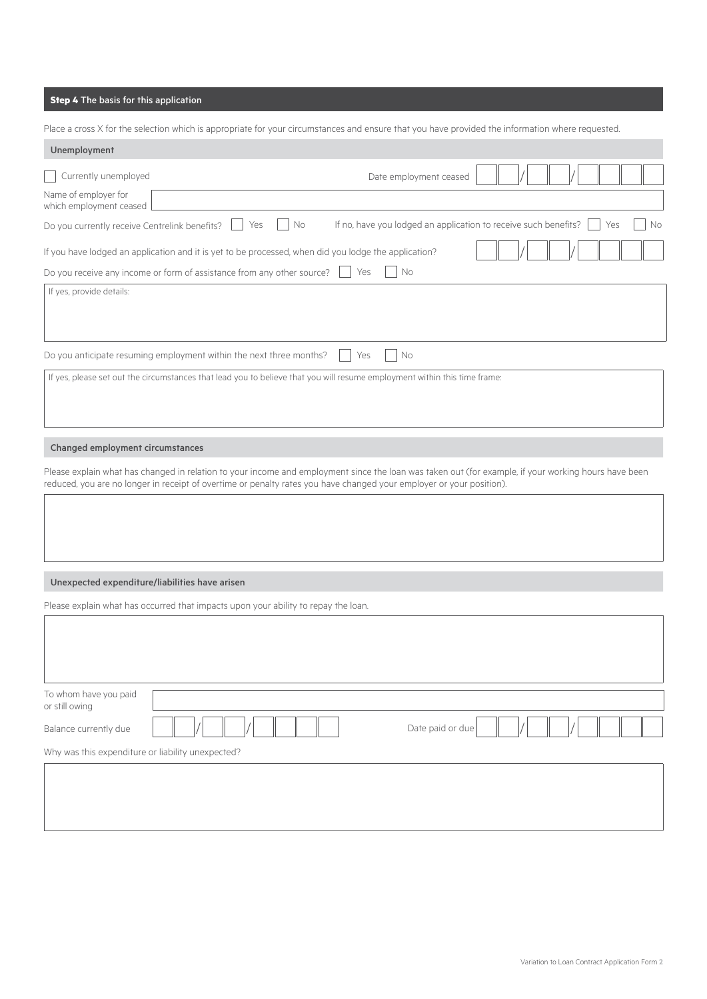## **Step 4** The basis for this application

Place a cross X for the selection which is appropriate for your circumstances and ensure that you have provided the information where requested.

| Unemployment                                      |                                                                                                                           |
|---------------------------------------------------|---------------------------------------------------------------------------------------------------------------------------|
| Currently unemployed                              | Date employment ceased                                                                                                    |
| Name of employer for<br>which employment ceased   |                                                                                                                           |
| Do you currently receive Centrelink benefits?     | If no, have you lodged an application to receive such benefits?<br>No<br>No<br>Yes<br>Yes                                 |
|                                                   | If you have lodged an application and it is yet to be processed, when did you lodge the application?                      |
|                                                   | No<br>Do you receive any income or form of assistance from any other source?<br>Yes                                       |
| If yes, provide details:                          |                                                                                                                           |
|                                                   | Do you anticipate resuming employment within the next three months?<br>No<br>Yes                                          |
|                                                   | If yes, please set out the circumstances that lead you to believe that you will resume employment within this time frame: |
| Changed employment circumstances                  |                                                                                                                           |
|                                                   | reduced, you are no longer in receipt of overtime or penalty rates you have changed your employer or your position).      |
| Unexpected expenditure/liabilities have arisen    |                                                                                                                           |
|                                                   | Please explain what has occurred that impacts upon your ability to repay the loan.                                        |
|                                                   |                                                                                                                           |
| To whom have you paid<br>or still owing           |                                                                                                                           |
| Balance currently due                             | Date paid or due                                                                                                          |
| Why was this expenditure or liability unexpected? |                                                                                                                           |
|                                                   |                                                                                                                           |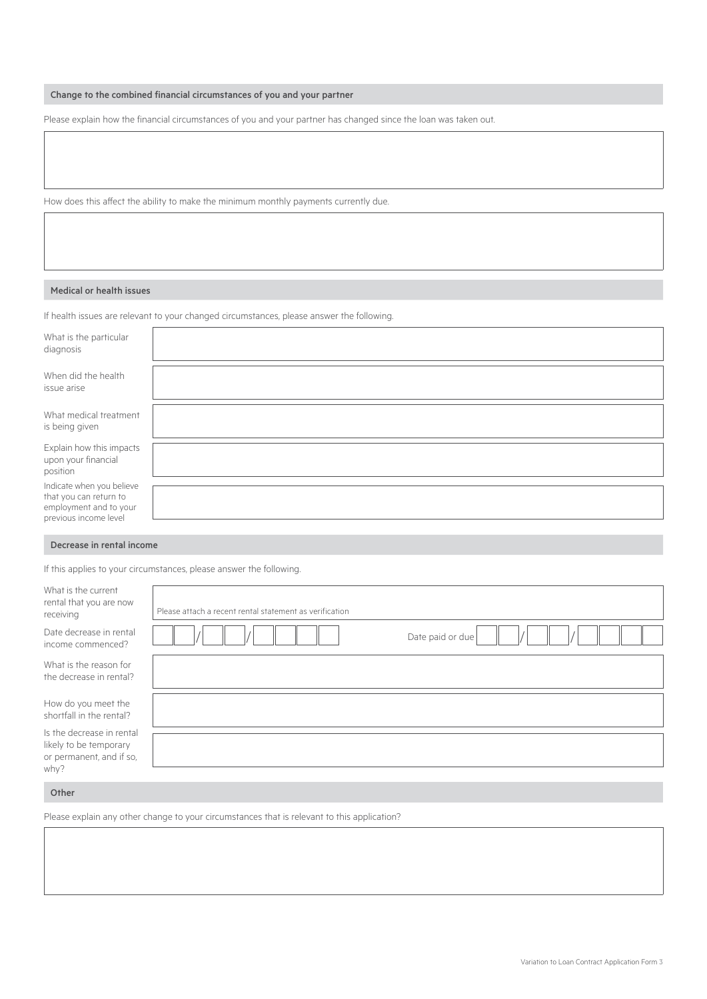## Change to the combined financial circumstances of you and your partner

Please explain how the financial circumstances of you and your partner has changed since the loan was taken out.

How does this affect the ability to make the minimum monthly payments currently due.

#### Medical or health issues

If health issues are relevant to your changed circumstances, please answer the following.

| What is the particular<br>diagnosis                                                                    |  |
|--------------------------------------------------------------------------------------------------------|--|
| When did the health<br>issue arise                                                                     |  |
| What medical treatment<br>is being given                                                               |  |
| Explain how this impacts<br>upon your financial<br>position                                            |  |
| Indicate when you believe<br>that you can return to<br>employment and to your<br>previous income level |  |

#### Decrease in rental income

If this applies to your circumstances, please answer the following.

| What is the current<br>rental that you are now<br>receiving                     | Please attach a recent rental statement as verification |
|---------------------------------------------------------------------------------|---------------------------------------------------------|
| Date decrease in rental<br>income commenced?                                    | Date paid or due                                        |
| What is the reason for<br>the decrease in rental?                               |                                                         |
| How do you meet the<br>shortfall in the rental?                                 |                                                         |
| Is the decrease in rental<br>likely to be temporary<br>or permanent, and if so, |                                                         |
| why?                                                                            |                                                         |

#### Other

Please explain any other change to your circumstances that is relevant to this application?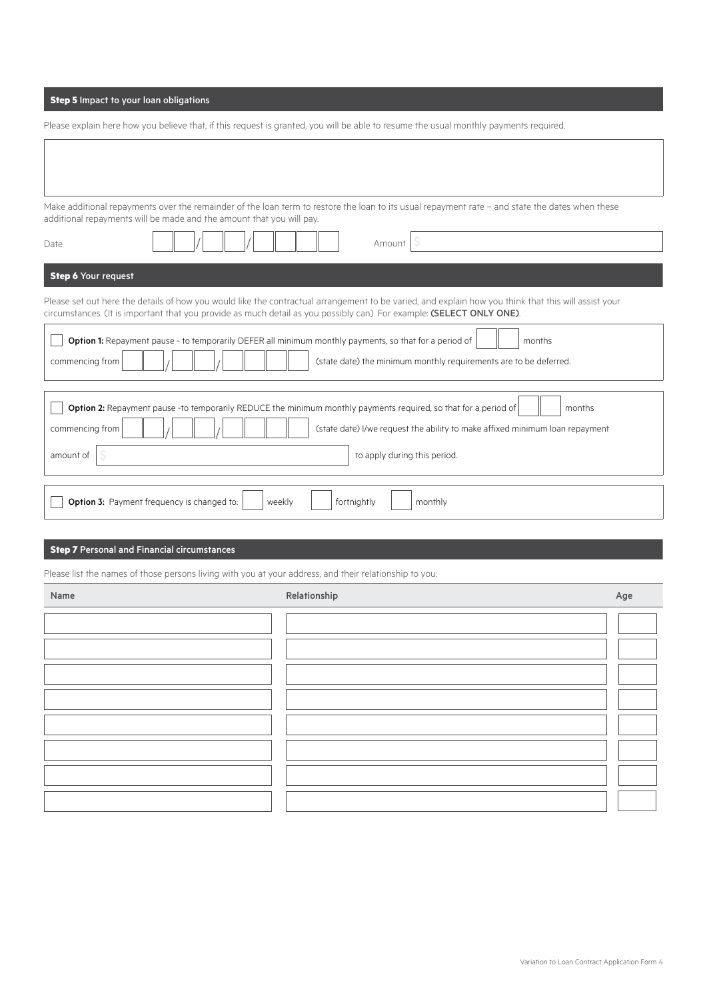## **Step 5** Impact to your loan obligations

| Please explain here how you believe that, if this request is granted, you will be able to resume the usual monthly payments required. |  |  |  |
|---------------------------------------------------------------------------------------------------------------------------------------|--|--|--|
|                                                                                                                                       |  |  |  |

Make additional repayments over the remainder of the loan term to restore the loan to its usual repayment rate – and state the dates when these additional repayments will be made and the amount that you will pay.

| Date                         | Amount                                                                                                                                                                                                                                                                        |
|------------------------------|-------------------------------------------------------------------------------------------------------------------------------------------------------------------------------------------------------------------------------------------------------------------------------|
| <b>Step 6 Your request</b>   |                                                                                                                                                                                                                                                                               |
|                              | Please set out here the details of how you would like the contractual arrangement to be varied, and explain how you think that this will assist your<br>circumstances. (It is important that you provide as much detail as you possibly can). For example: (SELECT ONLY ONE). |
| commencing from              | Option 1: Repayment pause - to temporarily DEFER all minimum monthly payments, so that for a period of<br>months<br>(state date) the minimum monthly requirements are to be deferred.                                                                                         |
| commencing from<br>amount of | Option 2: Repayment pause -to temporarily REDUCE the minimum monthly payments required, so that for a period of<br>months<br>(state date) I/we request the ability to make affixed minimum loan repayment<br>to apply during this period.                                     |
|                              |                                                                                                                                                                                                                                                                               |
|                              | <b>Option 3:</b> Payment frequency is changed to:<br>fortnightly<br>weekly<br>monthly                                                                                                                                                                                         |

## **Step 7** Personal and Financial circumstances

Please list the names of those persons living with you at your address, and their relationship to you:

| Name | Relationship | Age |
|------|--------------|-----|
|      |              |     |
|      |              |     |
|      |              |     |
|      |              |     |
|      |              |     |
|      |              |     |
|      |              |     |
|      |              |     |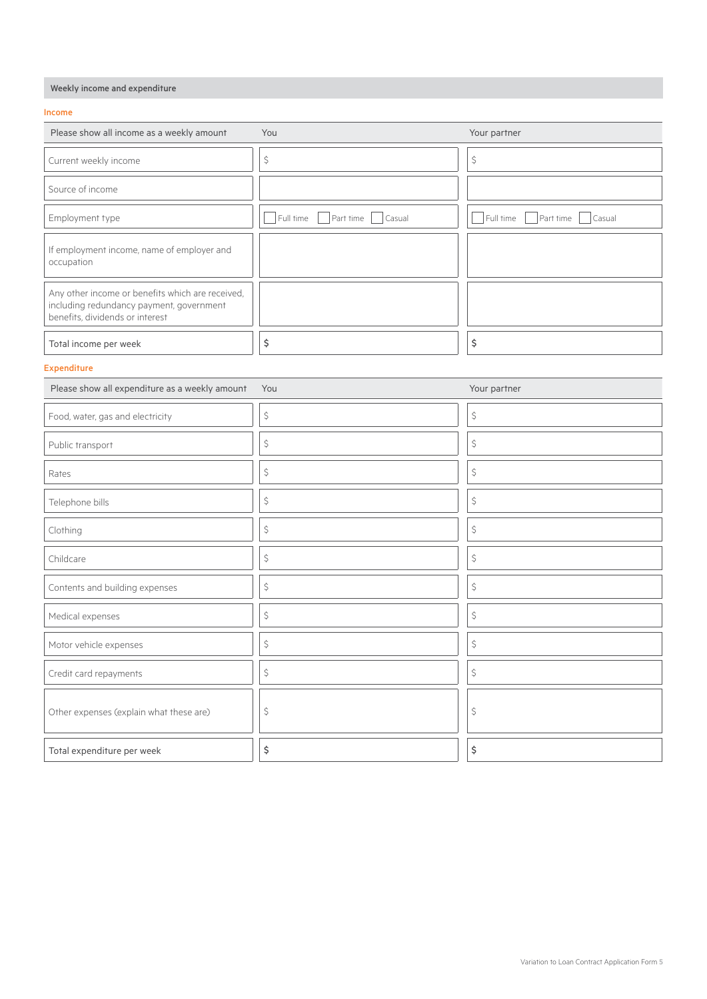## Weekly income and expenditure

#### Income

| Please show all income as a weekly amount                                                                                       | You                             | Your partner                     |
|---------------------------------------------------------------------------------------------------------------------------------|---------------------------------|----------------------------------|
| Current weekly income                                                                                                           | \$                              | \$                               |
| Source of income                                                                                                                |                                 |                                  |
| Employment type                                                                                                                 | Part time   Casual<br>Full time | Full time<br>Part time<br>Casual |
| If employment income, name of employer and<br>occupation                                                                        |                                 |                                  |
| Any other income or benefits which are received,<br>including redundancy payment, government<br>benefits, dividends or interest |                                 |                                  |
| Total income per week                                                                                                           | \$                              | \$                               |

## Expenditure

| Please show all expenditure as a weekly amount | You | Your partner |
|------------------------------------------------|-----|--------------|
| Food, water, gas and electricity               | \$  | \$           |
| Public transport                               | \$  | \$           |
| Rates                                          | \$  | \$           |
| Telephone bills                                | \$  | \$           |
| Clothing                                       | \$  | \$           |
| Childcare                                      | \$  | \$           |
| Contents and building expenses                 | \$  | \$           |
| Medical expenses                               | \$  | \$           |
| Motor vehicle expenses                         | \$  | \$           |
| Credit card repayments                         | \$  | \$           |
| Other expenses (explain what these are)        | \$  | \$           |
| Total expenditure per week                     | \$  | \$           |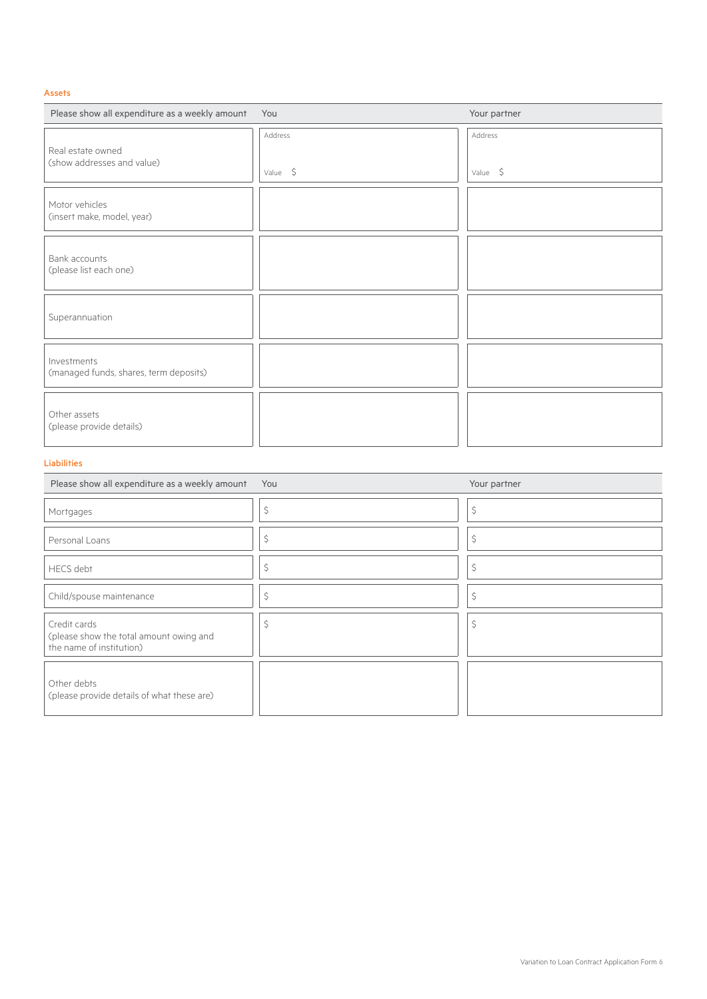## Assets

| Please show all expenditure as a weekly amount You    |                    | Your partner             |
|-------------------------------------------------------|--------------------|--------------------------|
| Real estate owned<br>(show addresses and value)       | Address<br>Value 5 | Address<br>Value $\oint$ |
| Motor vehicles<br>(insert make, model, year)          |                    |                          |
| Bank accounts<br>(please list each one)               |                    |                          |
| Superannuation                                        |                    |                          |
| Investments<br>(managed funds, shares, term deposits) |                    |                          |
| Other assets<br>(please provide details)              |                    |                          |

## Liabilities

| Please show all expenditure as a weekly amount                                      | You | Your partner |
|-------------------------------------------------------------------------------------|-----|--------------|
| Mortgages                                                                           | \$  | \$           |
| Personal Loans                                                                      | \$  | \$           |
| <b>HECS</b> debt                                                                    | Ŝ   | \$           |
| Child/spouse maintenance                                                            | \$  | \$           |
| Credit cards<br>(please show the total amount owing and<br>the name of institution) | Ś   | \$           |
| Other debts<br>(please provide details of what these are)                           |     |              |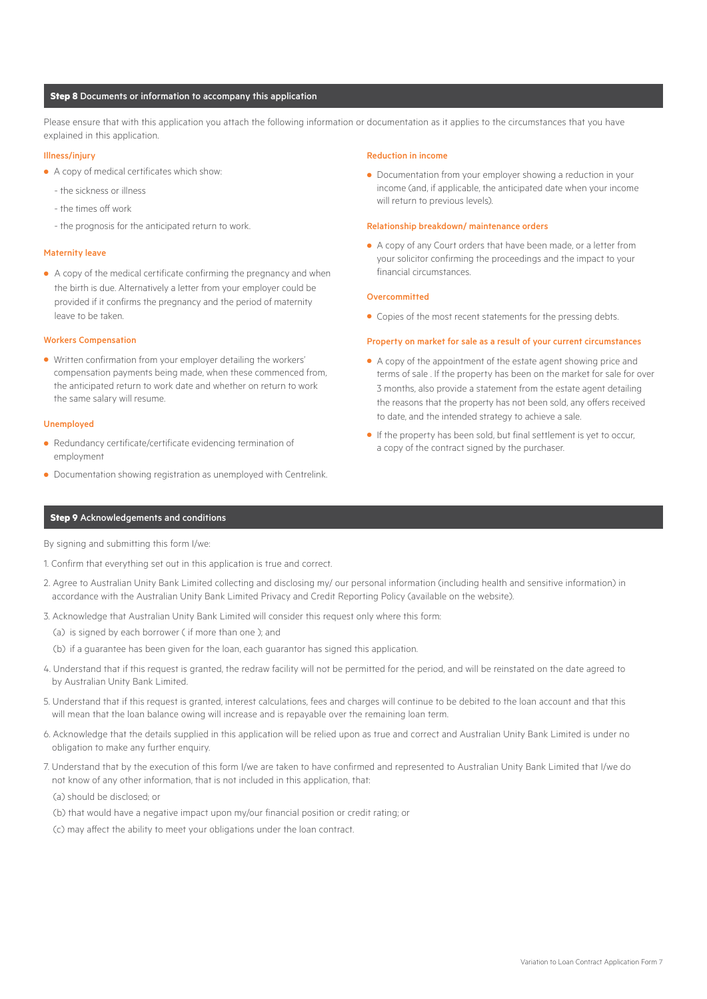#### **Step 8** Documents or information to accompany this application

Please ensure that with this application you attach the following information or documentation as it applies to the circumstances that you have explained in this application.

#### Illness/injury

- **•** A copy of medical certificates which show:
	- the sickness or illness
	- the times off work
	- the prognosis for the anticipated return to work.

#### Maternity leave

**•** A copy of the medical certificate confirming the pregnancy and when the birth is due. Alternatively a letter from your employer could be provided if it confirms the pregnancy and the period of maternity leave to be taken.

#### Workers Compensation

**•** Written confirmation from your employer detailing the workers' compensation payments being made, when these commenced from, the anticipated return to work date and whether on return to work the same salary will resume.

#### Unemployed

- **•** Redundancy certificate/certificate evidencing termination of employment
- **•** Documentation showing registration as unemployed with Centrelink.

#### Reduction in income

**•** Documentation from your employer showing a reduction in your income (and, if applicable, the anticipated date when your income will return to previous levels).

#### Relationship breakdown/ maintenance orders

**•** A copy of any Court orders that have been made, or a letter from your solicitor confirming the proceedings and the impact to your financial circumstances.

#### Overcommitted

**•** Copies of the most recent statements for the pressing debts.

#### Property on market for sale as a result of your current circumstances

- **•** A copy of the appointment of the estate agent showing price and terms of sale . If the property has been on the market for sale for over 3 months, also provide a statement from the estate agent detailing the reasons that the property has not been sold, any offers received to date, and the intended strategy to achieve a sale.
- **•** If the property has been sold, but final settlement is yet to occur, a copy of the contract signed by the purchaser.

#### **Step 9** Acknowledgements and conditions

By signing and submitting this form I/we:

- 1. Confirm that everything set out in this application is true and correct.
- 2. Agree to Australian Unity Bank Limited collecting and disclosing my/ our personal information (including health and sensitive information) in accordance with the Australian Unity Bank Limited Privacy and Credit Reporting Policy (available on the website).
- 3. Acknowledge that Australian Unity Bank Limited will consider this request only where this form:
	- (a) is signed by each borrower ( if more than one ); and
	- (b) if a guarantee has been given for the loan, each guarantor has signed this application.
- 4. Understand that if this request is granted, the redraw facility will not be permitted for the period, and will be reinstated on the date agreed to by Australian Unity Bank Limited.
- 5. Understand that if this request is granted, interest calculations, fees and charges will continue to be debited to the loan account and that this will mean that the loan balance owing will increase and is repayable over the remaining loan term.
- 6. Acknowledge that the details supplied in this application will be relied upon as true and correct and Australian Unity Bank Limited is under no obligation to make any further enquiry.
- 7. Understand that by the execution of this form I/we are taken to have confirmed and represented to Australian Unity Bank Limited that I/we do not know of any other information, that is not included in this application, that:

(a) should be disclosed; or

- (b) that would have a negative impact upon my/our financial position or credit rating; or
- (c) may affect the ability to meet your obligations under the loan contract.